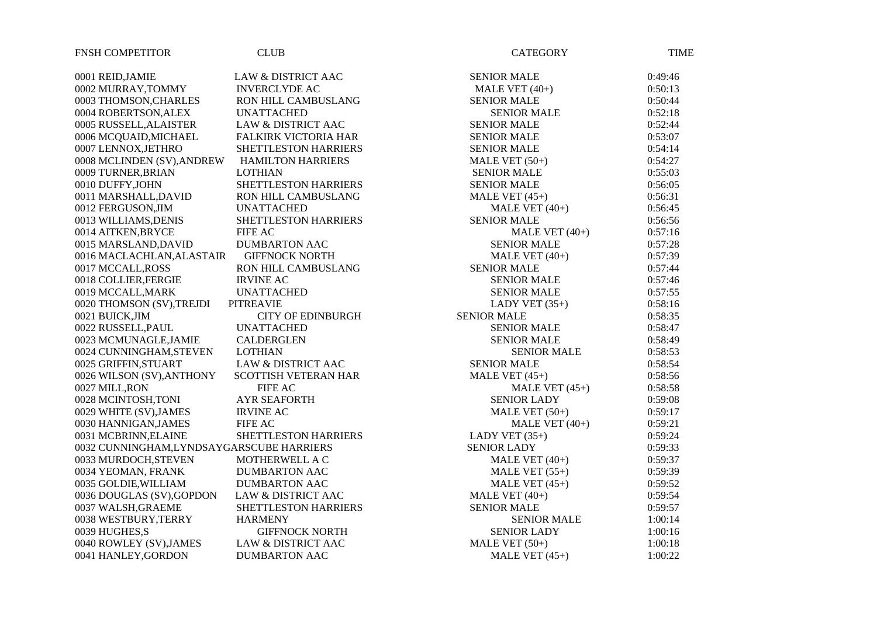| <b>FNSH COMPETITOR</b>                   | <b>CLUB</b>                   | <b>CATEGORY</b>    | <b>TIME</b> |
|------------------------------------------|-------------------------------|--------------------|-------------|
| 0001 REID, JAMIE                         | <b>LAW &amp; DISTRICT AAC</b> | <b>SENIOR MALE</b> | 0:49:46     |
| 0002 MURRAY, TOMMY                       | <b>INVERCLYDE AC</b>          | MALE VET $(40+)$   | 0:50:13     |
| 0003 THOMSON, CHARLES                    | RON HILL CAMBUSLANG           | <b>SENIOR MALE</b> | 0:50:44     |
| 0004 ROBERTSON, ALEX                     | <b>UNATTACHED</b>             | <b>SENIOR MALE</b> | 0:52:18     |
| 0005 RUSSELL, ALAISTER                   | <b>LAW &amp; DISTRICT AAC</b> | <b>SENIOR MALE</b> | 0:52:44     |
| 0006 MCQUAID, MICHAEL                    | <b>FALKIRK VICTORIA HAR</b>   | <b>SENIOR MALE</b> | 0:53:07     |
| 0007 LENNOX, JETHRO                      | SHETTLESTON HARRIERS          | <b>SENIOR MALE</b> | 0:54:14     |
| 0008 MCLINDEN (SV), ANDREW               | <b>HAMILTON HARRIERS</b>      | MALE VET $(50+)$   | 0:54:27     |
| 0009 TURNER, BRIAN                       | <b>LOTHIAN</b>                | <b>SENIOR MALE</b> | 0:55:03     |
| 0010 DUFFY, JOHN                         | SHETTLESTON HARRIERS          | <b>SENIOR MALE</b> | 0:56:05     |
| 0011 MARSHALL, DAVID                     | <b>RON HILL CAMBUSLANG</b>    | MALE VET $(45+)$   | 0:56:31     |
| 0012 FERGUSON, JIM                       | <b>UNATTACHED</b>             | MALE VET $(40+)$   | 0:56:45     |
| 0013 WILLIAMS, DENIS                     | SHETTLESTON HARRIERS          | <b>SENIOR MALE</b> | 0:56:56     |
| 0014 AITKEN, BRYCE                       | <b>FIFE AC</b>                | MALE VET $(40+)$   | 0:57:16     |
| 0015 MARSLAND, DAVID                     | <b>DUMBARTON AAC</b>          | <b>SENIOR MALE</b> | 0:57:28     |
| 0016 MACLACHLAN, ALASTAIR                | <b>GIFFNOCK NORTH</b>         | MALE VET $(40+)$   | 0:57:39     |
| 0017 MCCALL, ROSS                        | RON HILL CAMBUSLANG           | <b>SENIOR MALE</b> | 0:57:44     |
| 0018 COLLIER, FERGIE                     | <b>IRVINE AC</b>              | <b>SENIOR MALE</b> | 0:57:46     |
| 0019 MCCALL, MARK                        | <b>UNATTACHED</b>             | <b>SENIOR MALE</b> | 0:57:55     |
| 0020 THOMSON (SV), TREJDI                | <b>PITREAVIE</b>              | LADY VET $(35+)$   | 0:58:16     |
| 0021 BUICK, JIM                          | <b>CITY OF EDINBURGH</b>      | <b>SENIOR MALE</b> | 0:58:35     |
| 0022 RUSSELL, PAUL                       | <b>UNATTACHED</b>             | <b>SENIOR MALE</b> | 0:58:47     |
| 0023 MCMUNAGLE, JAMIE                    | <b>CALDERGLEN</b>             | <b>SENIOR MALE</b> | 0:58:49     |
| 0024 CUNNINGHAM, STEVEN                  | <b>LOTHIAN</b>                | <b>SENIOR MALE</b> | 0:58:53     |
| 0025 GRIFFIN, STUART                     | <b>LAW &amp; DISTRICT AAC</b> | <b>SENIOR MALE</b> | 0:58:54     |
| 0026 WILSON (SV), ANTHONY                | <b>SCOTTISH VETERAN HAR</b>   | MALE VET $(45+)$   | 0:58:56     |
| 0027 MILL, RON                           | <b>FIFE AC</b>                | MALE VET $(45+)$   | 0:58:58     |
| 0028 MCINTOSH,TONI                       | <b>AYR SEAFORTH</b>           | <b>SENIOR LADY</b> | 0:59:08     |
| 0029 WHITE (SV), JAMES                   | <b>IRVINE AC</b>              | MALE VET $(50+)$   | 0:59:17     |
| 0030 HANNIGAN, JAMES                     | <b>FIFE AC</b>                | MALE VET $(40+)$   | 0:59:21     |
| 0031 MCBRINN, ELAINE                     | SHETTLESTON HARRIERS          | LADY VET $(35+)$   | 0:59:24     |
| 0032 CUNNINGHAM,LYNDSAYGARSCUBE HARRIERS |                               | <b>SENIOR LADY</b> | 0:59:33     |
| 0033 MURDOCH, STEVEN                     | MOTHERWELL A C                | MALE VET $(40+)$   | 0:59:37     |
| 0034 YEOMAN, FRANK                       | <b>DUMBARTON AAC</b>          | MALE VET $(55+)$   | 0:59:39     |
| 0035 GOLDIE, WILLIAM                     | <b>DUMBARTON AAC</b>          | MALE VET $(45+)$   | 0:59:52     |
| 0036 DOUGLAS (SV), GOPDON                | <b>LAW &amp; DISTRICT AAC</b> | MALE VET $(40+)$   | 0:59:54     |
| 0037 WALSH, GRAEME                       | SHETTLESTON HARRIERS          | <b>SENIOR MALE</b> | 0:59:57     |
| 0038 WESTBURY,TERRY                      | <b>HARMENY</b>                | <b>SENIOR MALE</b> | 1:00:14     |
| 0039 HUGHES, S                           | <b>GIFFNOCK NORTH</b>         | <b>SENIOR LADY</b> | 1:00:16     |
| 0040 ROWLEY (SV), JAMES                  | <b>LAW &amp; DISTRICT AAC</b> | MALE VET $(50+)$   | 1:00:18     |
| 0041 HANLEY, GORDON                      | <b>DUMBARTON AAC</b>          | MALE VET $(45+)$   | 1:00:22     |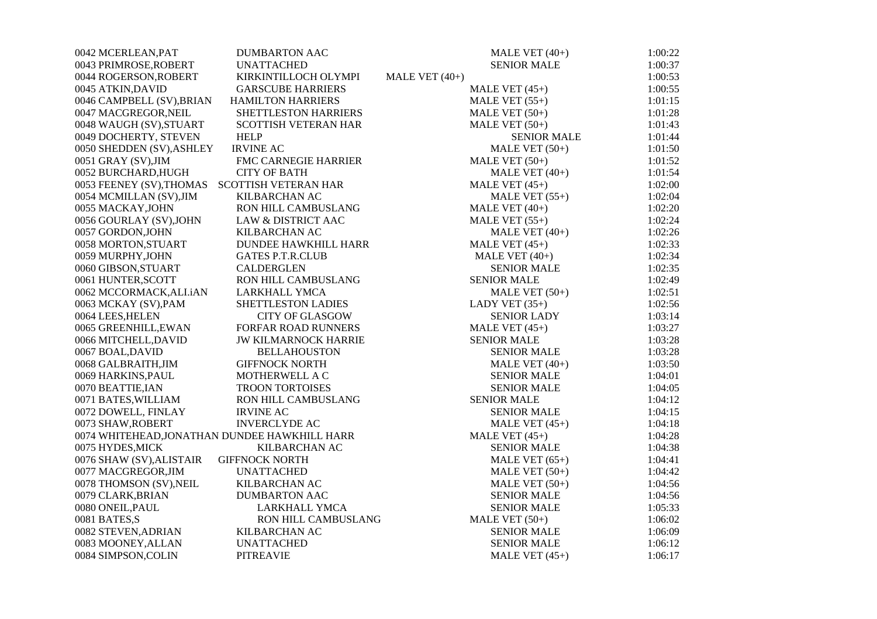| 0042 MCERLEAN, PAT        | <b>DUMBARTON AAC</b>                          | MALE VET $(40+)$   | 1:00:22 |
|---------------------------|-----------------------------------------------|--------------------|---------|
| 0043 PRIMROSE, ROBERT     | <b>UNATTACHED</b>                             | <b>SENIOR MALE</b> | 1:00:37 |
| 0044 ROGERSON, ROBERT     | KIRKINTILLOCH OLYMPI                          | MALE VET $(40+)$   | 1:00:53 |
| 0045 ATKIN, DAVID         | <b>GARSCUBE HARRIERS</b>                      | MALE VET $(45+)$   | 1:00:55 |
| 0046 CAMPBELL (SV), BRIAN | <b>HAMILTON HARRIERS</b>                      | MALE VET $(55+)$   | 1:01:15 |
| 0047 MACGREGOR, NEIL      | SHETTLESTON HARRIERS                          | MALE VET $(50+)$   | 1:01:28 |
| 0048 WAUGH (SV), STUART   | <b>SCOTTISH VETERAN HAR</b>                   | MALE VET $(50+)$   | 1:01:43 |
| 0049 DOCHERTY, STEVEN     | <b>HELP</b>                                   | <b>SENIOR MALE</b> | 1:01:44 |
| 0050 SHEDDEN (SV), ASHLEY | <b>IRVINE AC</b>                              | MALE VET $(50+)$   | 1:01:50 |
| 0051 GRAY (SV), JIM       | FMC CARNEGIE HARRIER                          | MALE VET $(50+)$   | 1:01:52 |
| 0052 BURCHARD, HUGH       | <b>CITY OF BATH</b>                           | MALE VET $(40+)$   | 1:01:54 |
| 0053 FEENEY (SV), THOMAS  | <b>SCOTTISH VETERAN HAR</b>                   | MALE VET $(45+)$   | 1:02:00 |
| 0054 MCMILLAN (SV), JIM   | KILBARCHAN AC                                 | MALE VET $(55+)$   | 1:02:04 |
| 0055 MACKAY, JOHN         | RON HILL CAMBUSLANG                           | MALE VET $(40+)$   | 1:02:20 |
| 0056 GOURLAY (SV), JOHN   | <b>LAW &amp; DISTRICT AAC</b>                 | MALE VET $(55+)$   | 1:02:24 |
| 0057 GORDON, JOHN         | <b>KILBARCHAN AC</b>                          | MALE VET $(40+)$   | 1:02:26 |
| 0058 MORTON, STUART       | <b>DUNDEE HAWKHILL HARR</b>                   | MALE VET $(45+)$   | 1:02:33 |
| 0059 MURPHY, JOHN         | <b>GATES P.T.R.CLUB</b>                       | MALE VET $(40+)$   | 1:02:34 |
| 0060 GIBSON, STUART       | <b>CALDERGLEN</b>                             | <b>SENIOR MALE</b> | 1:02:35 |
| 0061 HUNTER, SCOTT        | <b>RON HILL CAMBUSLANG</b>                    | <b>SENIOR MALE</b> | 1:02:49 |
| 0062 MCCORMACK, ALI.iAN   | <b>LARKHALL YMCA</b>                          | MALE VET $(50+)$   | 1:02:51 |
| 0063 MCKAY (SV), PAM      | SHETTLESTON LADIES                            | LADY VET $(35+)$   | 1:02:56 |
| 0064 LEES, HELEN          | <b>CITY OF GLASGOW</b>                        | <b>SENIOR LADY</b> | 1:03:14 |
| 0065 GREENHILL, EWAN      | <b>FORFAR ROAD RUNNERS</b>                    | MALE VET $(45+)$   | 1:03:27 |
| 0066 MITCHELL, DAVID      | <b>JW KILMARNOCK HARRIE</b>                   | <b>SENIOR MALE</b> | 1:03:28 |
| 0067 BOAL, DAVID          | <b>BELLAHOUSTON</b>                           | <b>SENIOR MALE</b> | 1:03:28 |
| 0068 GALBRAITH, JIM       | <b>GIFFNOCK NORTH</b>                         | MALE VET $(40+)$   | 1:03:50 |
| 0069 HARKINS, PAUL        | MOTHERWELL A C                                | <b>SENIOR MALE</b> | 1:04:01 |
| 0070 BEATTIE, IAN         | TROON TORTOISES                               | <b>SENIOR MALE</b> | 1:04:05 |
| 0071 BATES, WILLIAM       | RON HILL CAMBUSLANG                           | <b>SENIOR MALE</b> | 1:04:12 |
| 0072 DOWELL, FINLAY       | <b>IRVINE AC</b>                              | <b>SENIOR MALE</b> | 1:04:15 |
| 0073 SHAW, ROBERT         | <b>INVERCLYDE AC</b>                          | MALE VET $(45+)$   | 1:04:18 |
|                           | 0074 WHITEHEAD, JONATHAN DUNDEE HAWKHILL HARR | MALE VET $(45+)$   | 1:04:28 |
| 0075 HYDES, MICK          | KILBARCHAN AC                                 | <b>SENIOR MALE</b> | 1:04:38 |
| 0076 SHAW (SV), ALISTAIR  | <b>GIFFNOCK NORTH</b>                         | MALE VET $(65+)$   | 1:04:41 |
| 0077 MACGREGOR, JIM       | <b>UNATTACHED</b>                             | MALE VET $(50+)$   | 1:04:42 |
| 0078 THOMSON (SV), NEIL   | KILBARCHAN AC                                 | MALE VET $(50+)$   | 1:04:56 |
| 0079 CLARK, BRIAN         | <b>DUMBARTON AAC</b>                          | <b>SENIOR MALE</b> | 1:04:56 |
| 0080 ONEIL, PAUL          | LARKHALL YMCA                                 | <b>SENIOR MALE</b> | 1:05:33 |
| 0081 BATES,S              | RON HILL CAMBUSLANG                           | MALE VET $(50+)$   | 1:06:02 |
| 0082 STEVEN, ADRIAN       | KILBARCHAN AC                                 | <b>SENIOR MALE</b> | 1:06:09 |
| 0083 MOONEY, ALLAN        | <b>UNATTACHED</b>                             | <b>SENIOR MALE</b> | 1:06:12 |
| 0084 SIMPSON, COLIN       | <b>PITREAVIE</b>                              | MALE VET $(45+)$   | 1:06:17 |
|                           |                                               |                    |         |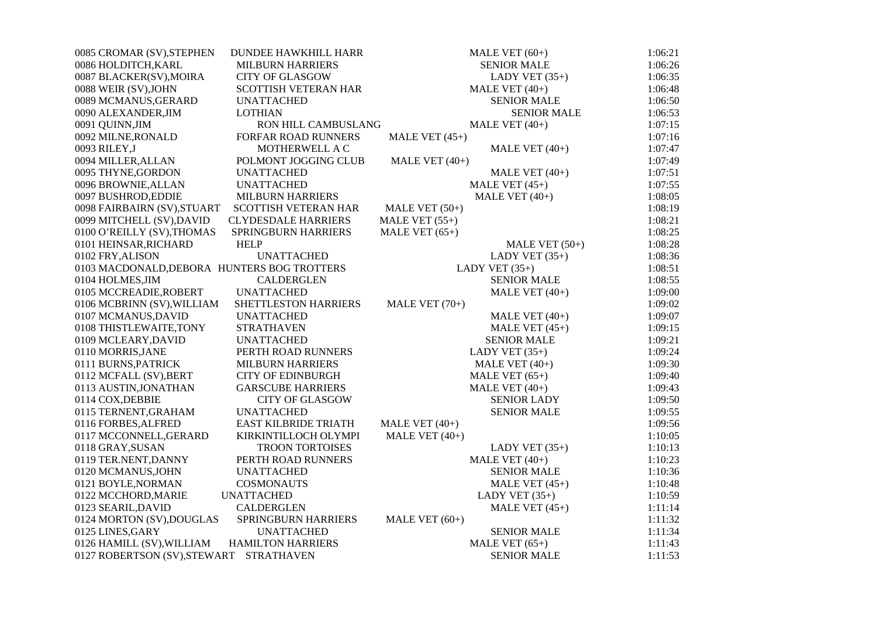| 0085 CROMAR (SV), STEPHEN                   | DUNDEE HAWKHILL HARR        | MALE VET $(60+)$   | 1:06:21 |
|---------------------------------------------|-----------------------------|--------------------|---------|
| 0086 HOLDITCH, KARL                         | <b>MILBURN HARRIERS</b>     | <b>SENIOR MALE</b> | 1:06:26 |
| 0087 BLACKER(SV), MOIRA                     | <b>CITY OF GLASGOW</b>      | LADY VET $(35+)$   | 1:06:35 |
| 0088 WEIR (SV), JOHN                        | <b>SCOTTISH VETERAN HAR</b> | MALE VET (40+)     | 1:06:48 |
| 0089 MCMANUS, GERARD                        | <b>UNATTACHED</b>           | <b>SENIOR MALE</b> | 1:06:50 |
| 0090 ALEXANDER, JIM                         | <b>LOTHIAN</b>              | <b>SENIOR MALE</b> | 1:06:53 |
| 0091 QUINN, JIM                             | RON HILL CAMBUSLANG         | MALE VET $(40+)$   | 1:07:15 |
| 0092 MILNE, RONALD                          | FORFAR ROAD RUNNERS         | MALE VET $(45+)$   | 1:07:16 |
| 0093 RILEY,J                                | MOTHERWELL A C              | MALE VET $(40+)$   | 1:07:47 |
| 0094 MILLER, ALLAN                          | POLMONT JOGGING CLUB        | MALE VET $(40+)$   | 1:07:49 |
| 0095 THYNE, GORDON                          | <b>UNATTACHED</b>           | MALE VET $(40+)$   | 1:07:51 |
| 0096 BROWNIE, ALLAN                         | <b>UNATTACHED</b>           | MALE VET $(45+)$   | 1:07:55 |
| 0097 BUSHROD, EDDIE                         | <b>MILBURN HARRIERS</b>     | MALE VET $(40+)$   | 1:08:05 |
| 0098 FAIRBAIRN (SV), STUART                 | <b>SCOTTISH VETERAN HAR</b> | MALE VET $(50+)$   | 1:08:19 |
| 0099 MITCHELL (SV), DAVID                   | <b>CLYDESDALE HARRIERS</b>  | MALE VET $(55+)$   | 1:08:21 |
| 0100 O'REILLY (SV), THOMAS                  | SPRINGBURN HARRIERS         | MALE VET $(65+)$   | 1:08:25 |
| 0101 HEINSAR, RICHARD                       | <b>HELP</b>                 | MALE VET $(50+)$   | 1:08:28 |
| 0102 FRY, ALISON                            | <b>UNATTACHED</b>           | LADY VET $(35+)$   | 1:08:36 |
| 0103 MACDONALD, DEBORA HUNTERS BOG TROTTERS |                             | LADY VET $(35+)$   | 1:08:51 |
| 0104 HOLMES, JIM                            | <b>CALDERGLEN</b>           | <b>SENIOR MALE</b> | 1:08:55 |
| 0105 MCCREADIE, ROBERT                      | <b>UNATTACHED</b>           | MALE VET $(40+)$   | 1:09:00 |
| 0106 MCBRINN (SV), WILLIAM                  | SHETTLESTON HARRIERS        | MALE VET $(70+)$   | 1:09:02 |
| 0107 MCMANUS, DAVID                         | <b>UNATTACHED</b>           | MALE VET $(40+)$   | 1:09:07 |
| 0108 THISTLEWAITE, TONY                     | <b>STRATHAVEN</b>           | MALE VET $(45+)$   | 1:09:15 |
| 0109 MCLEARY, DAVID                         | <b>UNATTACHED</b>           | <b>SENIOR MALE</b> | 1:09:21 |
| 0110 MORRIS, JANE                           | PERTH ROAD RUNNERS          | LADY VET $(35+)$   | 1:09:24 |
| 0111 BURNS, PATRICK                         | <b>MILBURN HARRIERS</b>     | MALE VET $(40+)$   | 1:09:30 |
| 0112 MCFALL (SV), BERT                      | <b>CITY OF EDINBURGH</b>    | MALE VET $(65+)$   | 1:09:40 |
| 0113 AUSTIN, JONATHAN                       | <b>GARSCUBE HARRIERS</b>    | MALE VET $(40+)$   | 1:09:43 |
| 0114 COX, DEBBIE                            | <b>CITY OF GLASGOW</b>      | <b>SENIOR LADY</b> | 1:09:50 |
| 0115 TERNENT, GRAHAM                        | <b>UNATTACHED</b>           | <b>SENIOR MALE</b> | 1:09:55 |
| 0116 FORBES, ALFRED                         | <b>EAST KILBRIDE TRIATH</b> | MALE VET $(40+)$   | 1:09:56 |
| 0117 MCCONNELL, GERARD                      | KIRKINTILLOCH OLYMPI        | MALE VET $(40+)$   | 1:10:05 |
| 0118 GRAY, SUSAN                            | TROON TORTOISES             | LADY VET $(35+)$   | 1:10:13 |
| 0119 TER.NENT, DANNY                        | PERTH ROAD RUNNERS          | MALE VET $(40+)$   | 1:10:23 |
| 0120 MCMANUS, JOHN                          | <b>UNATTACHED</b>           | <b>SENIOR MALE</b> | 1:10:36 |
| 0121 BOYLE, NORMAN                          | <b>COSMONAUTS</b>           | MALE VET $(45+)$   | 1:10:48 |
| 0122 MCCHORD, MARIE                         | <b>UNATTACHED</b>           | LADY VET $(35+)$   | 1:10:59 |
| 0123 SEARIL, DAVID                          | <b>CALDERGLEN</b>           | MALE VET $(45+)$   | 1:11:14 |
| 0124 MORTON (SV), DOUGLAS                   | SPRINGBURN HARRIERS         | MALE VET $(60+)$   | 1:11:32 |
| 0125 LINES, GARY                            | <b>UNATTACHED</b>           | <b>SENIOR MALE</b> | 1:11:34 |
| 0126 HAMILL (SV), WILLIAM                   | <b>HAMILTON HARRIERS</b>    | MALE VET $(65+)$   | 1:11:43 |
| 0127 ROBERTSON (SV), STEWART                | <b>STRATHAVEN</b>           | <b>SENIOR MALE</b> | 1:11:53 |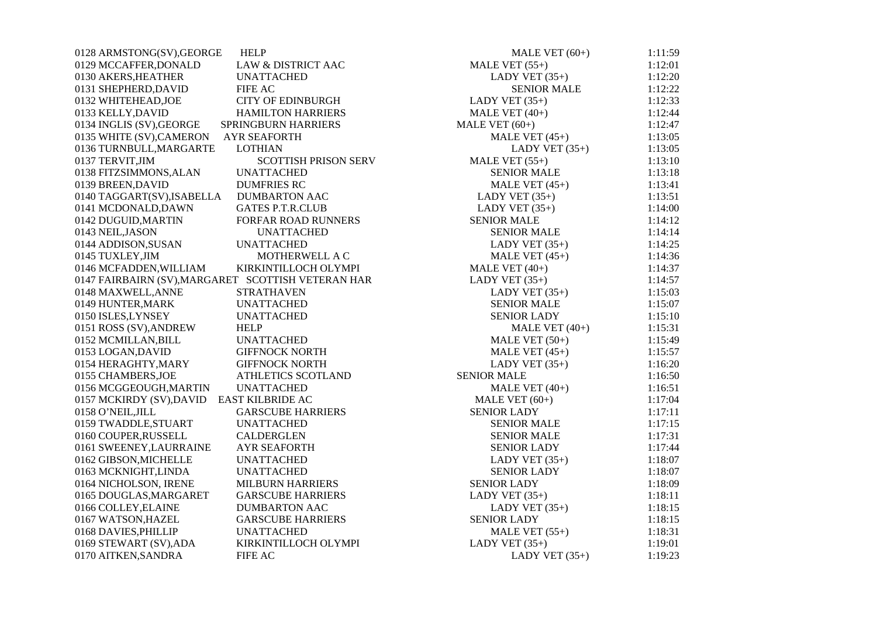| 0128 ARMSTONG(SV), GEORGE<br><b>HELP</b>               | MALE VET $(60+)$   | 1:11:59 |
|--------------------------------------------------------|--------------------|---------|
| <b>LAW &amp; DISTRICT AAC</b><br>0129 MCCAFFER, DONALD | MALE VET $(55+)$   | 1:12:01 |
| 0130 AKERS, HEATHER<br><b>UNATTACHED</b>               | LADY VET $(35+)$   | 1:12:20 |
| 0131 SHEPHERD, DAVID<br><b>FIFE AC</b>                 | <b>SENIOR MALE</b> | 1:12:22 |
| <b>CITY OF EDINBURGH</b><br>0132 WHITEHEAD, JOE        | LADY VET $(35+)$   | 1:12:33 |
| 0133 KELLY, DAVID<br><b>HAMILTON HARRIERS</b>          | MALE VET $(40+)$   | 1:12:44 |
| 0134 INGLIS (SV), GEORGE<br><b>SPRINGBURN HARRIERS</b> | MALE VET $(60+)$   | 1:12:47 |
| 0135 WHITE (SV), CAMERON<br><b>AYR SEAFORTH</b>        | MALE VET $(45+)$   | 1:13:05 |
| 0136 TURNBULL, MARGARTE<br><b>LOTHIAN</b>              | LADY VET $(35+)$   | 1:13:05 |
| 0137 TERVIT, JIM<br><b>SCOTTISH PRISON SERV</b>        | MALE VET $(55+)$   | 1:13:10 |
| 0138 FITZSIMMONS, ALAN<br><b>UNATTACHED</b>            | <b>SENIOR MALE</b> | 1:13:18 |
| 0139 BREEN, DAVID<br><b>DUMFRIES RC</b>                | MALE VET $(45+)$   | 1:13:41 |
| 0140 TAGGART(SV), ISABELLA<br><b>DUMBARTON AAC</b>     | LADY VET $(35+)$   | 1:13:51 |
| <b>GATES P.T.R.CLUB</b><br>0141 MCDONALD, DAWN         | LADY VET $(35+)$   | 1:14:00 |
| 0142 DUGUID, MARTIN<br>FORFAR ROAD RUNNERS             | <b>SENIOR MALE</b> | 1:14:12 |
| 0143 NEIL, JASON<br><b>UNATTACHED</b>                  | <b>SENIOR MALE</b> | 1:14:14 |
| 0144 ADDISON, SUSAN<br><b>UNATTACHED</b>               | LADY VET $(35+)$   | 1:14:25 |
| 0145 TUXLEY, JIM<br>MOTHERWELL A C                     | MALE VET $(45+)$   | 1:14:36 |
| 0146 MCFADDEN, WILLIAM<br>KIRKINTILLOCH OLYMPI         | MALE VET $(40+)$   | 1:14:37 |
| 0147 FAIRBAIRN (SV), MARGARET SCOTTISH VETERAN HAR     | LADY VET $(35+)$   | 1:14:57 |
| 0148 MAXWELL, ANNE<br><b>STRATHAVEN</b>                | LADY VET $(35+)$   | 1:15:03 |
| <b>UNATTACHED</b><br>0149 HUNTER, MARK                 | <b>SENIOR MALE</b> | 1:15:07 |
| 0150 ISLES, LYNSEY<br><b>UNATTACHED</b>                | <b>SENIOR LADY</b> | 1:15:10 |
| <b>HELP</b><br>0151 ROSS (SV), ANDREW                  | MALE VET $(40+)$   | 1:15:31 |
| <b>UNATTACHED</b><br>0152 MCMILLAN, BILL               | MALE VET $(50+)$   | 1:15:49 |
| 0153 LOGAN, DAVID<br><b>GIFFNOCK NORTH</b>             | MALE VET $(45+)$   | 1:15:57 |
| 0154 HERAGHTY, MARY<br><b>GIFFNOCK NORTH</b>           | LADY VET $(35+)$   | 1:16:20 |
| ATHLETICS SCOTLAND<br>0155 CHAMBERS, JOE               | <b>SENIOR MALE</b> | 1:16:50 |
| 0156 MCGGEOUGH, MARTIN<br><b>UNATTACHED</b>            | MALE VET $(40+)$   | 1:16:51 |
| 0157 MCKIRDY (SV), DAVID<br>EAST KILBRIDE AC           | MALE VET $(60+)$   | 1:17:04 |
| <b>GARSCUBE HARRIERS</b><br>0158 O'NEIL, JILL          | <b>SENIOR LADY</b> | 1:17:11 |
| 0159 TWADDLE, STUART<br><b>UNATTACHED</b>              | <b>SENIOR MALE</b> | 1:17:15 |
| <b>CALDERGLEN</b><br>0160 COUPER, RUSSELL              | <b>SENIOR MALE</b> | 1:17:31 |
| 0161 SWEENEY, LAURRAINE<br><b>AYR SEAFORTH</b>         | <b>SENIOR LADY</b> | 1:17:44 |
| 0162 GIBSON, MICHELLE<br><b>UNATTACHED</b>             | LADY VET $(35+)$   | 1:18:07 |
| 0163 MCKNIGHT, LINDA<br><b>UNATTACHED</b>              | <b>SENIOR LADY</b> | 1:18:07 |
| 0164 NICHOLSON, IRENE<br><b>MILBURN HARRIERS</b>       | <b>SENIOR LADY</b> | 1:18:09 |
| 0165 DOUGLAS, MARGARET<br><b>GARSCUBE HARRIERS</b>     | LADY VET $(35+)$   | 1:18:11 |
| 0166 COLLEY, ELAINE<br><b>DUMBARTON AAC</b>            | LADY VET $(35+)$   | 1:18:15 |
| 0167 WATSON, HAZEL<br><b>GARSCUBE HARRIERS</b>         | <b>SENIOR LADY</b> | 1:18:15 |
| 0168 DAVIES, PHILLIP<br><b>UNATTACHED</b>              | MALE VET $(55+)$   | 1:18:31 |
| KIRKINTILLOCH OLYMPI<br>0169 STEWART (SV), ADA         | LADY VET $(35+)$   | 1:19:01 |
| <b>FIFE AC</b><br>0170 AITKEN, SANDRA                  | LADY VET $(35+)$   | 1:19:23 |